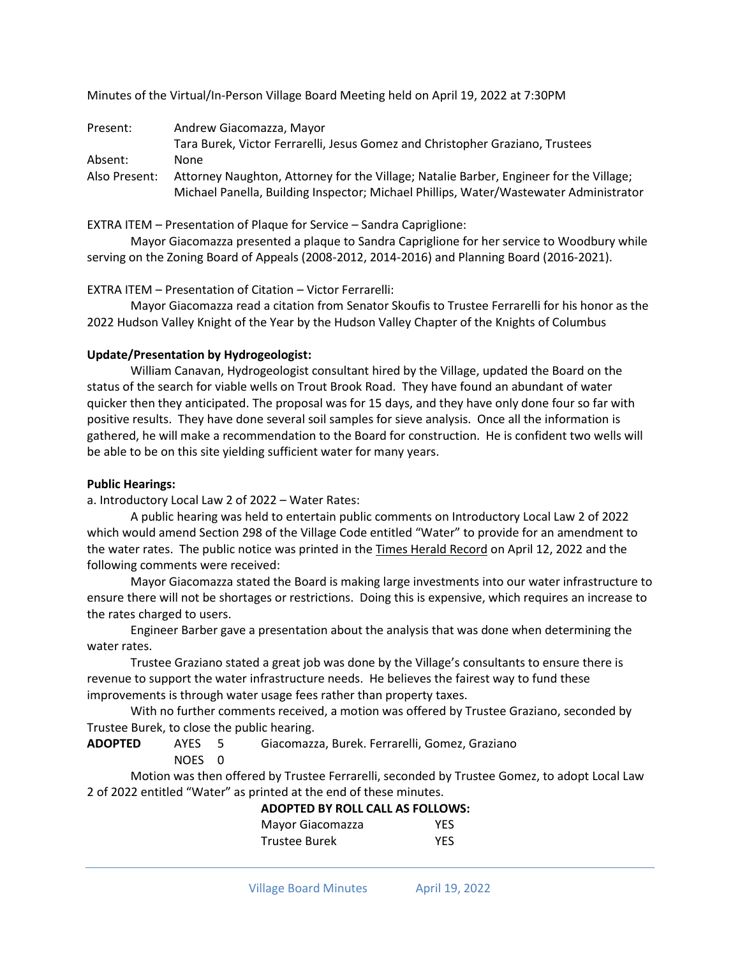Minutes of the Virtual/In-Person Village Board Meeting held on April 19, 2022 at 7:30PM

| Present:      | Andrew Giacomazza, Mayor                                                               |
|---------------|----------------------------------------------------------------------------------------|
|               | Tara Burek, Victor Ferrarelli, Jesus Gomez and Christopher Graziano, Trustees          |
| Absent:       | None                                                                                   |
| Also Present: | Attorney Naughton, Attorney for the Village; Natalie Barber, Engineer for the Village; |
|               | Michael Panella, Building Inspector; Michael Phillips, Water/Wastewater Administrator  |

EXTRA ITEM – Presentation of Plaque for Service – Sandra Capriglione:

Mayor Giacomazza presented a plaque to Sandra Capriglione for her service to Woodbury while serving on the Zoning Board of Appeals (2008-2012, 2014-2016) and Planning Board (2016-2021).

EXTRA ITEM – Presentation of Citation – Victor Ferrarelli:

Mayor Giacomazza read a citation from Senator Skoufis to Trustee Ferrarelli for his honor as the 2022 Hudson Valley Knight of the Year by the Hudson Valley Chapter of the Knights of Columbus

### **Update/Presentation by Hydrogeologist:**

William Canavan, Hydrogeologist consultant hired by the Village, updated the Board on the status of the search for viable wells on Trout Brook Road. They have found an abundant of water quicker then they anticipated. The proposal was for 15 days, and they have only done four so far with positive results. They have done several soil samples for sieve analysis. Once all the information is gathered, he will make a recommendation to the Board for construction. He is confident two wells will be able to be on this site yielding sufficient water for many years.

## **Public Hearings:**

a. Introductory Local Law 2 of 2022 – Water Rates:

A public hearing was held to entertain public comments on Introductory Local Law 2 of 2022 which would amend Section 298 of the Village Code entitled "Water" to provide for an amendment to the water rates. The public notice was printed in the Times Herald Record on April 12, 2022 and the following comments were received:

Mayor Giacomazza stated the Board is making large investments into our water infrastructure to ensure there will not be shortages or restrictions. Doing this is expensive, which requires an increase to the rates charged to users.

Engineer Barber gave a presentation about the analysis that was done when determining the water rates.

Trustee Graziano stated a great job was done by the Village's consultants to ensure there is revenue to support the water infrastructure needs. He believes the fairest way to fund these improvements is through water usage fees rather than property taxes.

With no further comments received, a motion was offered by Trustee Graziano, seconded by Trustee Burek, to close the public hearing.

**ADOPTED** AYES 5 Giacomazza, Burek. Ferrarelli, Gomez, Graziano

NOES 0

Motion was then offered by Trustee Ferrarelli, seconded by Trustee Gomez, to adopt Local Law 2 of 2022 entitled "Water" as printed at the end of these minutes.

| <b>ADOPTED BY ROLL CALL AS FOLLOWS:</b> |            |
|-----------------------------------------|------------|
| Mayor Giacomazza                        | YFS        |
| <b>Trustee Burek</b>                    | <b>YFS</b> |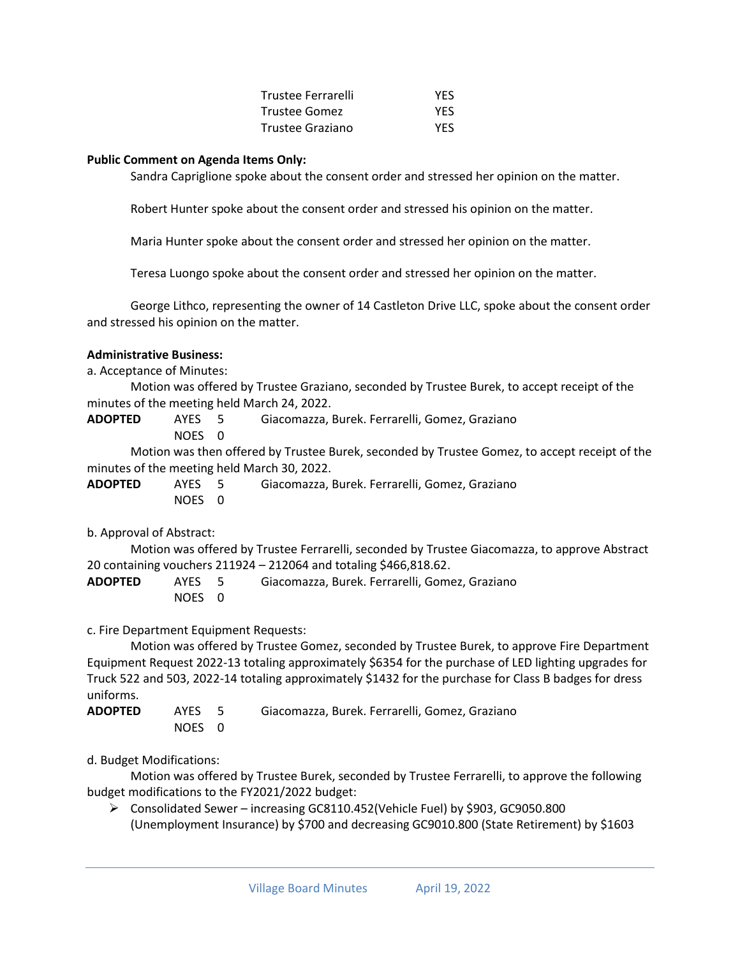| Trustee Ferrarelli | <b>YES</b> |
|--------------------|------------|
| Trustee Gomez      | YES.       |
| Trustee Graziano   | <b>YES</b> |

### **Public Comment on Agenda Items Only:**

Sandra Capriglione spoke about the consent order and stressed her opinion on the matter.

Robert Hunter spoke about the consent order and stressed his opinion on the matter.

Maria Hunter spoke about the consent order and stressed her opinion on the matter.

Teresa Luongo spoke about the consent order and stressed her opinion on the matter.

George Lithco, representing the owner of 14 Castleton Drive LLC, spoke about the consent order and stressed his opinion on the matter.

#### **Administrative Business:**

a. Acceptance of Minutes:

Motion was offered by Trustee Graziano, seconded by Trustee Burek, to accept receipt of the minutes of the meeting held March 24, 2022.

**ADOPTED** AYES 5 Giacomazza, Burek. Ferrarelli, Gomez, Graziano

NOES 0

Motion was then offered by Trustee Burek, seconded by Trustee Gomez, to accept receipt of the minutes of the meeting held March 30, 2022.

| <b>ADOPTED</b> | AYES 5 | Giacomazza, Burek. Ferrarelli, Gomez, Graziano |
|----------------|--------|------------------------------------------------|
|                | NOES 0 |                                                |

b. Approval of Abstract:

Motion was offered by Trustee Ferrarelli, seconded by Trustee Giacomazza, to approve Abstract 20 containing vouchers 211924 – 212064 and totaling \$466,818.62.

| <b>ADOPTED</b> | AYES 5 | Giacomazza, Burek. Ferrarelli, Gomez, Graziano |
|----------------|--------|------------------------------------------------|
|                | NOES 0 |                                                |

c. Fire Department Equipment Requests:

Motion was offered by Trustee Gomez, seconded by Trustee Burek, to approve Fire Department Equipment Request 2022-13 totaling approximately \$6354 for the purchase of LED lighting upgrades for Truck 522 and 503, 2022-14 totaling approximately \$1432 for the purchase for Class B badges for dress uniforms.

**ADOPTED** AYES 5 Giacomazza, Burek. Ferrarelli, Gomez, Graziano NOES 0

d. Budget Modifications:

Motion was offered by Trustee Burek, seconded by Trustee Ferrarelli, to approve the following budget modifications to the FY2021/2022 budget:

➢ Consolidated Sewer – increasing GC8110.452(Vehicle Fuel) by \$903, GC9050.800 (Unemployment Insurance) by \$700 and decreasing GC9010.800 (State Retirement) by \$1603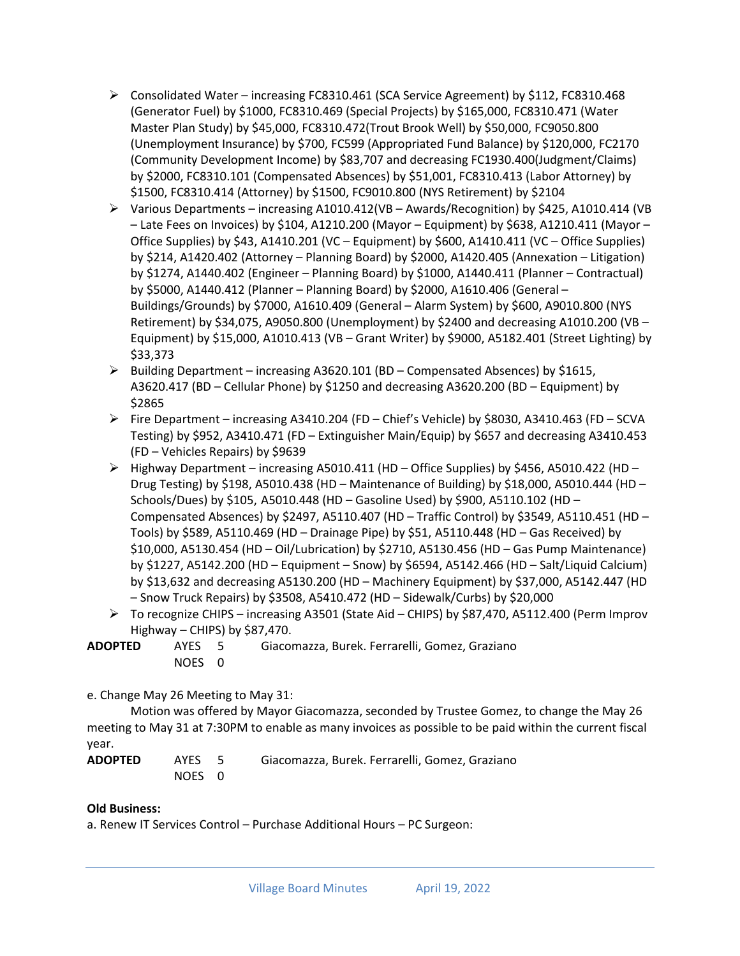- ➢ Consolidated Water increasing FC8310.461 (SCA Service Agreement) by \$112, FC8310.468 (Generator Fuel) by \$1000, FC8310.469 (Special Projects) by \$165,000, FC8310.471 (Water Master Plan Study) by \$45,000, FC8310.472(Trout Brook Well) by \$50,000, FC9050.800 (Unemployment Insurance) by \$700, FC599 (Appropriated Fund Balance) by \$120,000, FC2170 (Community Development Income) by \$83,707 and decreasing FC1930.400(Judgment/Claims) by \$2000, FC8310.101 (Compensated Absences) by \$51,001, FC8310.413 (Labor Attorney) by \$1500, FC8310.414 (Attorney) by \$1500, FC9010.800 (NYS Retirement) by \$2104
- ➢ Various Departments increasing A1010.412(VB Awards/Recognition) by \$425, A1010.414 (VB – Late Fees on Invoices) by \$104, A1210.200 (Mayor – Equipment) by \$638, A1210.411 (Mayor – Office Supplies) by \$43, A1410.201 (VC – Equipment) by \$600, A1410.411 (VC – Office Supplies) by \$214, A1420.402 (Attorney – Planning Board) by \$2000, A1420.405 (Annexation – Litigation) by \$1274, A1440.402 (Engineer – Planning Board) by \$1000, A1440.411 (Planner – Contractual) by \$5000, A1440.412 (Planner – Planning Board) by \$2000, A1610.406 (General – Buildings/Grounds) by \$7000, A1610.409 (General – Alarm System) by \$600, A9010.800 (NYS Retirement) by \$34,075, A9050.800 (Unemployment) by \$2400 and decreasing A1010.200 (VB – Equipment) by \$15,000, A1010.413 (VB – Grant Writer) by \$9000, A5182.401 (Street Lighting) by \$33,373
- $\triangleright$  Building Department increasing A3620.101 (BD Compensated Absences) by \$1615, A3620.417 (BD – Cellular Phone) by \$1250 and decreasing A3620.200 (BD – Equipment) by \$2865
- $\triangleright$  Fire Department increasing A3410.204 (FD Chief's Vehicle) by \$8030, A3410.463 (FD SCVA Testing) by \$952, A3410.471 (FD – Extinguisher Main/Equip) by \$657 and decreasing A3410.453 (FD – Vehicles Repairs) by \$9639
- $\triangleright$  Highway Department increasing A5010.411 (HD Office Supplies) by \$456, A5010.422 (HD Drug Testing) by \$198, A5010.438 (HD – Maintenance of Building) by \$18,000, A5010.444 (HD – Schools/Dues) by \$105, A5010.448 (HD – Gasoline Used) by \$900, A5110.102 (HD – Compensated Absences) by \$2497, A5110.407 (HD – Traffic Control) by \$3549, A5110.451 (HD – Tools) by \$589, A5110.469 (HD – Drainage Pipe) by \$51, A5110.448 (HD – Gas Received) by \$10,000, A5130.454 (HD – Oil/Lubrication) by \$2710, A5130.456 (HD – Gas Pump Maintenance) by \$1227, A5142.200 (HD – Equipment – Snow) by \$6594, A5142.466 (HD – Salt/Liquid Calcium) by \$13,632 and decreasing A5130.200 (HD – Machinery Equipment) by \$37,000, A5142.447 (HD – Snow Truck Repairs) by \$3508, A5410.472 (HD – Sidewalk/Curbs) by \$20,000
- ➢ To recognize CHIPS increasing A3501 (State Aid CHIPS) by \$87,470, A5112.400 (Perm Improv Highway – CHIPS) by \$87,470.
- **ADOPTED** AYES 5 Giacomazza, Burek. Ferrarelli, Gomez, Graziano NOES 0

e. Change May 26 Meeting to May 31:

Motion was offered by Mayor Giacomazza, seconded by Trustee Gomez, to change the May 26 meeting to May 31 at 7:30PM to enable as many invoices as possible to be paid within the current fiscal year.

**ADOPTED** AYES 5 Giacomazza, Burek. Ferrarelli, Gomez, Graziano NOES 0

# **Old Business:**

a. Renew IT Services Control – Purchase Additional Hours – PC Surgeon: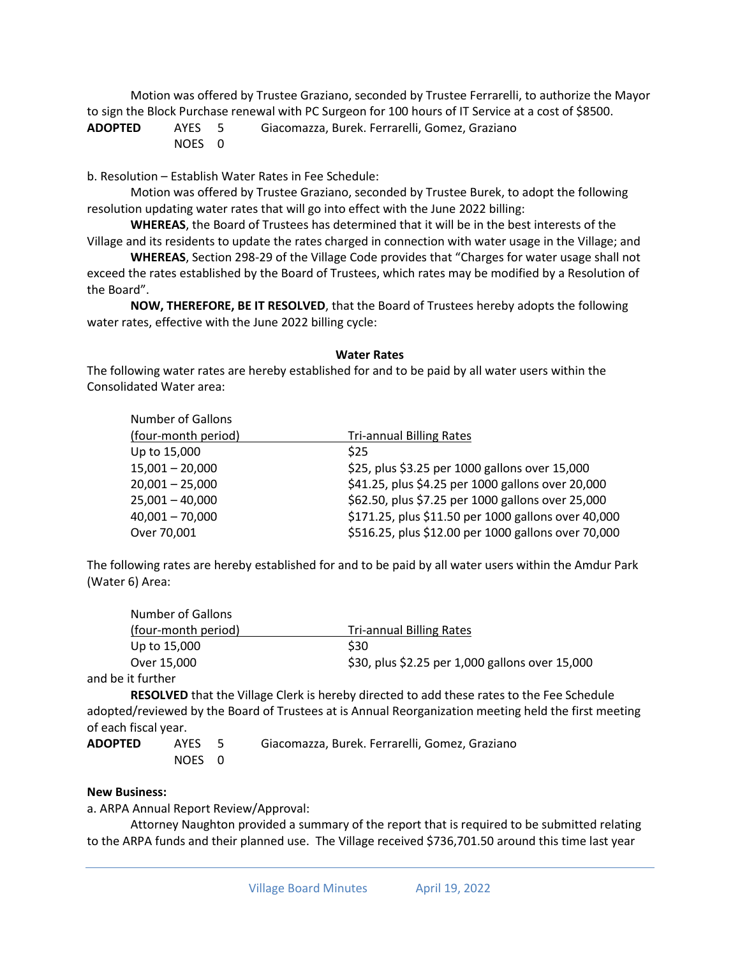Motion was offered by Trustee Graziano, seconded by Trustee Ferrarelli, to authorize the Mayor to sign the Block Purchase renewal with PC Surgeon for 100 hours of IT Service at a cost of \$8500.

**ADOPTED** AYES 5 Giacomazza, Burek. Ferrarelli, Gomez, Graziano NOES 0

b. Resolution – Establish Water Rates in Fee Schedule:

Motion was offered by Trustee Graziano, seconded by Trustee Burek, to adopt the following resolution updating water rates that will go into effect with the June 2022 billing:

**WHEREAS**, the Board of Trustees has determined that it will be in the best interests of the Village and its residents to update the rates charged in connection with water usage in the Village; and

**WHEREAS**, Section 298-29 of the Village Code provides that "Charges for water usage shall not exceed the rates established by the Board of Trustees, which rates may be modified by a Resolution of the Board".

**NOW, THEREFORE, BE IT RESOLVED**, that the Board of Trustees hereby adopts the following water rates, effective with the June 2022 billing cycle:

#### **Water Rates**

The following water rates are hereby established for and to be paid by all water users within the Consolidated Water area:

| <b>Number of Gallons</b> |                                                     |
|--------------------------|-----------------------------------------------------|
| (four-month period)      | <b>Tri-annual Billing Rates</b>                     |
| Up to 15,000             | <b>S25</b>                                          |
| $15,001 - 20,000$        | \$25, plus \$3.25 per 1000 gallons over 15,000      |
| $20,001 - 25,000$        | \$41.25, plus \$4.25 per 1000 gallons over 20,000   |
| $25,001 - 40,000$        | \$62.50, plus \$7.25 per 1000 gallons over 25,000   |
| $40,001 - 70,000$        | \$171.25, plus \$11.50 per 1000 gallons over 40,000 |
| Over 70,001              | \$516.25, plus \$12.00 per 1000 gallons over 70,000 |

The following rates are hereby established for and to be paid by all water users within the Amdur Park (Water 6) Area:

| Number of Gallons   |                                                 |
|---------------------|-------------------------------------------------|
| (four-month period) | <b>Tri-annual Billing Rates</b>                 |
| Up to 15,000        | \$30                                            |
| Over 15,000         | \$30, plus \$2.25 per 1,000 gallons over 15,000 |
| $\cdots$ $\cdots$   |                                                 |

and be it further

**RESOLVED** that the Village Clerk is hereby directed to add these rates to the Fee Schedule adopted/reviewed by the Board of Trustees at is Annual Reorganization meeting held the first meeting of each fiscal year.

**ADOPTED** AYES 5 Giacomazza, Burek. Ferrarelli, Gomez, Graziano NOES 0

#### **New Business:**

a. ARPA Annual Report Review/Approval:

Attorney Naughton provided a summary of the report that is required to be submitted relating to the ARPA funds and their planned use. The Village received \$736,701.50 around this time last year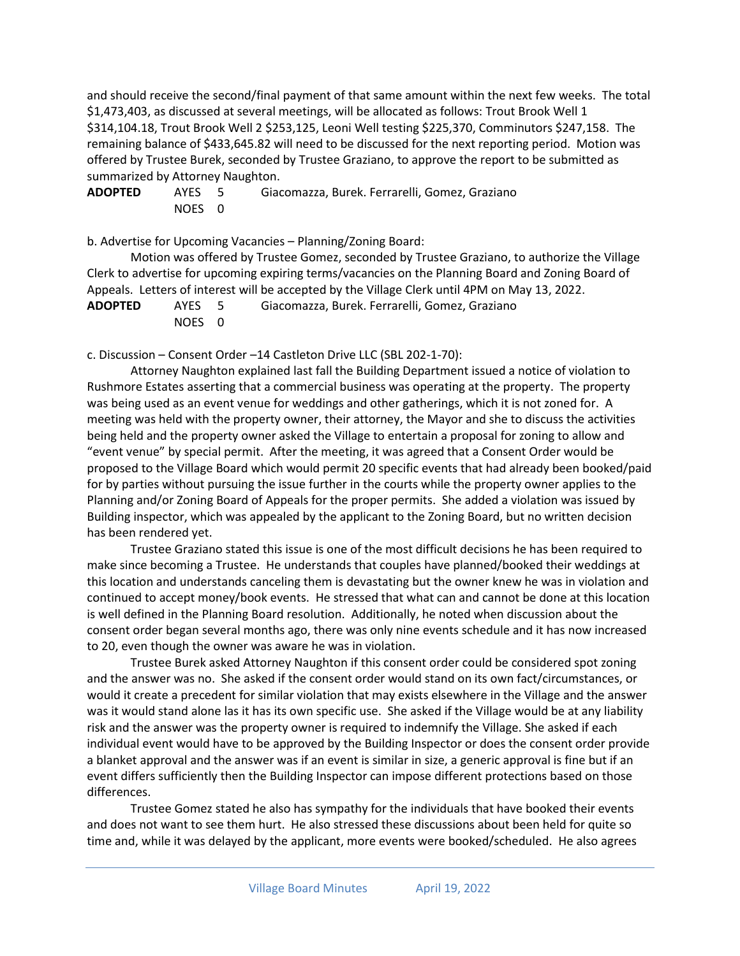and should receive the second/final payment of that same amount within the next few weeks. The total \$1,473,403, as discussed at several meetings, will be allocated as follows: Trout Brook Well 1 \$314,104.18, Trout Brook Well 2 \$253,125, Leoni Well testing \$225,370, Comminutors \$247,158. The remaining balance of \$433,645.82 will need to be discussed for the next reporting period. Motion was offered by Trustee Burek, seconded by Trustee Graziano, to approve the report to be submitted as summarized by Attorney Naughton.

| ADOPTED | AYES 5 | Giacomazza, Burek. Ferrarelli, Gomez, Graziano |
|---------|--------|------------------------------------------------|
|         | NOES 0 |                                                |

b. Advertise for Upcoming Vacancies – Planning/Zoning Board:

Motion was offered by Trustee Gomez, seconded by Trustee Graziano, to authorize the Village Clerk to advertise for upcoming expiring terms/vacancies on the Planning Board and Zoning Board of Appeals. Letters of interest will be accepted by the Village Clerk until 4PM on May 13, 2022.

| <b>ADOPTED</b> | AYES 5 | Giacomazza, Burek. Ferrarelli, Gomez, Graziano |
|----------------|--------|------------------------------------------------|
|                | NOES 0 |                                                |

c. Discussion – Consent Order –14 Castleton Drive LLC (SBL 202-1-70):

Attorney Naughton explained last fall the Building Department issued a notice of violation to Rushmore Estates asserting that a commercial business was operating at the property. The property was being used as an event venue for weddings and other gatherings, which it is not zoned for. A meeting was held with the property owner, their attorney, the Mayor and she to discuss the activities being held and the property owner asked the Village to entertain a proposal for zoning to allow and "event venue" by special permit. After the meeting, it was agreed that a Consent Order would be proposed to the Village Board which would permit 20 specific events that had already been booked/paid for by parties without pursuing the issue further in the courts while the property owner applies to the Planning and/or Zoning Board of Appeals for the proper permits. She added a violation was issued by Building inspector, which was appealed by the applicant to the Zoning Board, but no written decision has been rendered yet.

Trustee Graziano stated this issue is one of the most difficult decisions he has been required to make since becoming a Trustee. He understands that couples have planned/booked their weddings at this location and understands canceling them is devastating but the owner knew he was in violation and continued to accept money/book events. He stressed that what can and cannot be done at this location is well defined in the Planning Board resolution. Additionally, he noted when discussion about the consent order began several months ago, there was only nine events schedule and it has now increased to 20, even though the owner was aware he was in violation.

Trustee Burek asked Attorney Naughton if this consent order could be considered spot zoning and the answer was no. She asked if the consent order would stand on its own fact/circumstances, or would it create a precedent for similar violation that may exists elsewhere in the Village and the answer was it would stand alone las it has its own specific use. She asked if the Village would be at any liability risk and the answer was the property owner is required to indemnify the Village. She asked if each individual event would have to be approved by the Building Inspector or does the consent order provide a blanket approval and the answer was if an event is similar in size, a generic approval is fine but if an event differs sufficiently then the Building Inspector can impose different protections based on those differences.

Trustee Gomez stated he also has sympathy for the individuals that have booked their events and does not want to see them hurt. He also stressed these discussions about been held for quite so time and, while it was delayed by the applicant, more events were booked/scheduled. He also agrees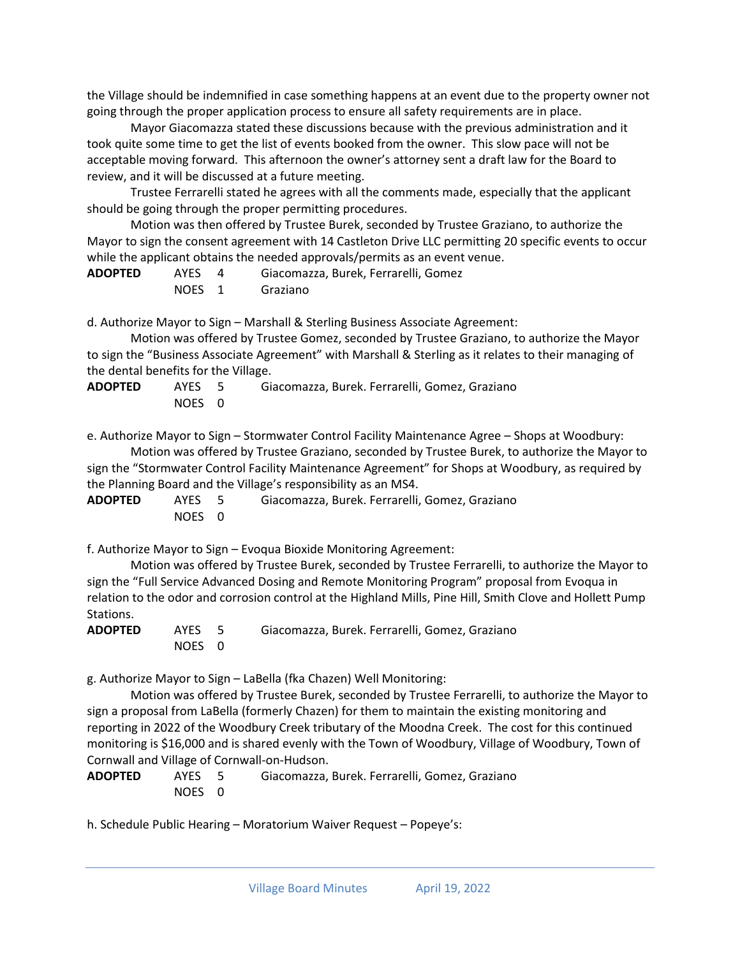the Village should be indemnified in case something happens at an event due to the property owner not going through the proper application process to ensure all safety requirements are in place.

Mayor Giacomazza stated these discussions because with the previous administration and it took quite some time to get the list of events booked from the owner. This slow pace will not be acceptable moving forward. This afternoon the owner's attorney sent a draft law for the Board to review, and it will be discussed at a future meeting.

Trustee Ferrarelli stated he agrees with all the comments made, especially that the applicant should be going through the proper permitting procedures.

Motion was then offered by Trustee Burek, seconded by Trustee Graziano, to authorize the Mayor to sign the consent agreement with 14 Castleton Drive LLC permitting 20 specific events to occur while the applicant obtains the needed approvals/permits as an event venue.

**ADOPTED** AYES 4 Giacomazza, Burek, Ferrarelli, Gomez NOES 1 Graziano

d. Authorize Mayor to Sign – Marshall & Sterling Business Associate Agreement:

Motion was offered by Trustee Gomez, seconded by Trustee Graziano, to authorize the Mayor to sign the "Business Associate Agreement" with Marshall & Sterling as it relates to their managing of the dental benefits for the Village.

**ADOPTED** AYES 5 Giacomazza, Burek. Ferrarelli, Gomez, Graziano NOES 0

e. Authorize Mayor to Sign – Stormwater Control Facility Maintenance Agree – Shops at Woodbury: Motion was offered by Trustee Graziano, seconded by Trustee Burek, to authorize the Mayor to

sign the "Stormwater Control Facility Maintenance Agreement" for Shops at Woodbury, as required by the Planning Board and the Village's responsibility as an MS4.

**ADOPTED** AYES 5 Giacomazza, Burek. Ferrarelli, Gomez, Graziano NOES 0

f. Authorize Mayor to Sign – Evoqua Bioxide Monitoring Agreement:

Motion was offered by Trustee Burek, seconded by Trustee Ferrarelli, to authorize the Mayor to sign the "Full Service Advanced Dosing and Remote Monitoring Program" proposal from Evoqua in relation to the odor and corrosion control at the Highland Mills, Pine Hill, Smith Clove and Hollett Pump Stations.

**ADOPTED** AYES 5 Giacomazza, Burek. Ferrarelli, Gomez, Graziano NOES 0

g. Authorize Mayor to Sign – LaBella (fka Chazen) Well Monitoring:

Motion was offered by Trustee Burek, seconded by Trustee Ferrarelli, to authorize the Mayor to sign a proposal from LaBella (formerly Chazen) for them to maintain the existing monitoring and reporting in 2022 of the Woodbury Creek tributary of the Moodna Creek. The cost for this continued monitoring is \$16,000 and is shared evenly with the Town of Woodbury, Village of Woodbury, Town of Cornwall and Village of Cornwall-on-Hudson.

**ADOPTED** AYES 5 Giacomazza, Burek. Ferrarelli, Gomez, Graziano NOES 0

h. Schedule Public Hearing – Moratorium Waiver Request – Popeye's: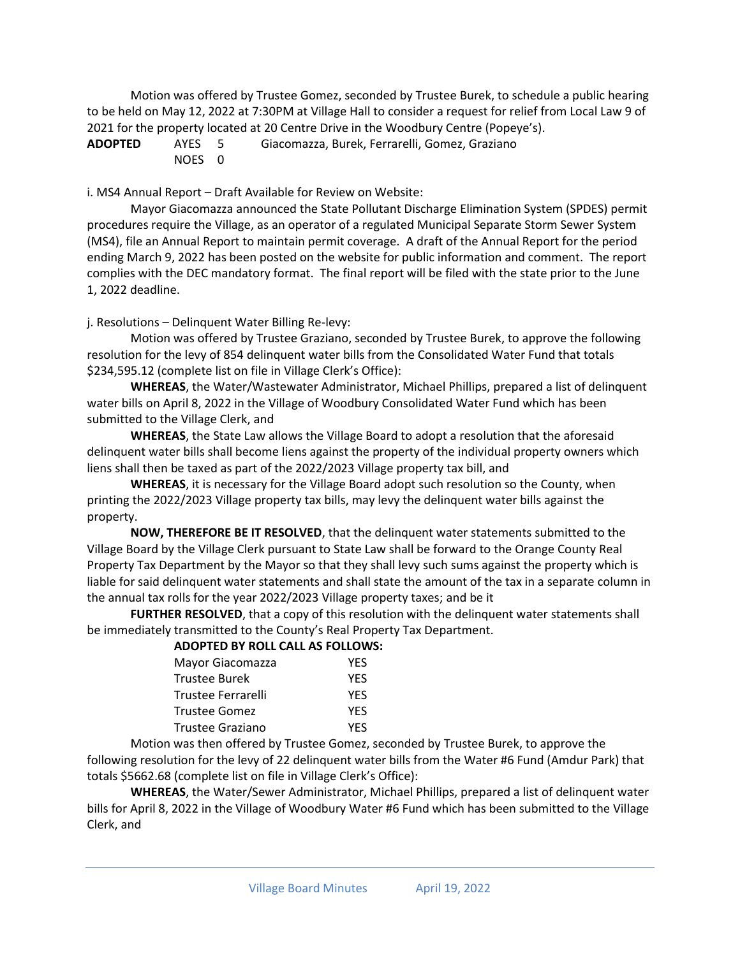Motion was offered by Trustee Gomez, seconded by Trustee Burek, to schedule a public hearing to be held on May 12, 2022 at 7:30PM at Village Hall to consider a request for relief from Local Law 9 of 2021 for the property located at 20 Centre Drive in the Woodbury Centre (Popeye's).

**ADOPTED** AYES 5 Giacomazza, Burek, Ferrarelli, Gomez, Graziano NOES 0

i. MS4 Annual Report – Draft Available for Review on Website:

Mayor Giacomazza announced the State Pollutant Discharge Elimination System (SPDES) permit procedures require the Village, as an operator of a regulated Municipal Separate Storm Sewer System (MS4), file an Annual Report to maintain permit coverage. A draft of the Annual Report for the period ending March 9, 2022 has been posted on the website for public information and comment. The report complies with the DEC mandatory format. The final report will be filed with the state prior to the June 1, 2022 deadline.

j. Resolutions – Delinquent Water Billing Re-levy:

Motion was offered by Trustee Graziano, seconded by Trustee Burek, to approve the following resolution for the levy of 854 delinquent water bills from the Consolidated Water Fund that totals \$234,595.12 (complete list on file in Village Clerk's Office):

**WHEREAS**, the Water/Wastewater Administrator, Michael Phillips, prepared a list of delinquent water bills on April 8, 2022 in the Village of Woodbury Consolidated Water Fund which has been submitted to the Village Clerk, and

**WHEREAS**, the State Law allows the Village Board to adopt a resolution that the aforesaid delinquent water bills shall become liens against the property of the individual property owners which liens shall then be taxed as part of the 2022/2023 Village property tax bill, and

**WHEREAS**, it is necessary for the Village Board adopt such resolution so the County, when printing the 2022/2023 Village property tax bills, may levy the delinquent water bills against the property.

**NOW, THEREFORE BE IT RESOLVED**, that the delinquent water statements submitted to the Village Board by the Village Clerk pursuant to State Law shall be forward to the Orange County Real Property Tax Department by the Mayor so that they shall levy such sums against the property which is liable for said delinquent water statements and shall state the amount of the tax in a separate column in the annual tax rolls for the year 2022/2023 Village property taxes; and be it

**FURTHER RESOLVED**, that a copy of this resolution with the delinquent water statements shall be immediately transmitted to the County's Real Property Tax Department.

### **ADOPTED BY ROLL CALL AS FOLLOWS:**

| Mayor Giacomazza   | YES        |
|--------------------|------------|
| Trustee Burek      | <b>YES</b> |
| Trustee Ferrarelli | YES        |
| Trustee Gomez      | <b>YES</b> |
| Trustee Graziano   | <b>YES</b> |
|                    |            |

Motion was then offered by Trustee Gomez, seconded by Trustee Burek, to approve the following resolution for the levy of 22 delinquent water bills from the Water #6 Fund (Amdur Park) that totals \$5662.68 (complete list on file in Village Clerk's Office):

**WHEREAS**, the Water/Sewer Administrator, Michael Phillips, prepared a list of delinquent water bills for April 8, 2022 in the Village of Woodbury Water #6 Fund which has been submitted to the Village Clerk, and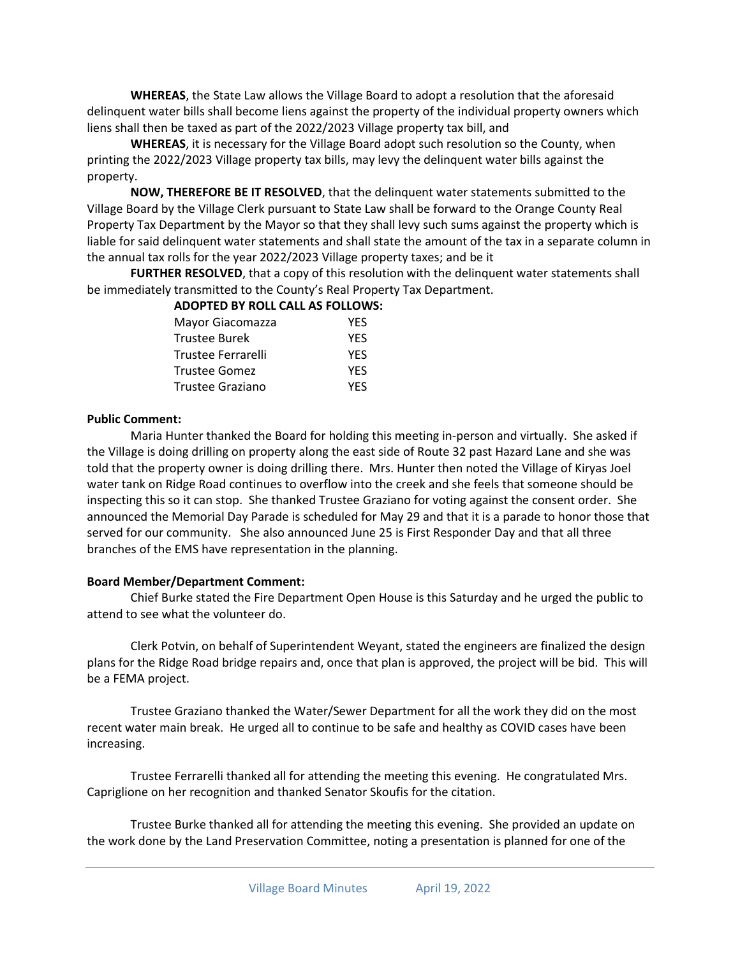**WHEREAS**, the State Law allows the Village Board to adopt a resolution that the aforesaid delinquent water bills shall become liens against the property of the individual property owners which liens shall then be taxed as part of the 2022/2023 Village property tax bill, and

**WHEREAS**, it is necessary for the Village Board adopt such resolution so the County, when printing the 2022/2023 Village property tax bills, may levy the delinquent water bills against the property.

**NOW, THEREFORE BE IT RESOLVED**, that the delinquent water statements submitted to the Village Board by the Village Clerk pursuant to State Law shall be forward to the Orange County Real Property Tax Department by the Mayor so that they shall levy such sums against the property which is liable for said delinquent water statements and shall state the amount of the tax in a separate column in the annual tax rolls for the year 2022/2023 Village property taxes; and be it

**FURTHER RESOLVED**, that a copy of this resolution with the delinquent water statements shall be immediately transmitted to the County's Real Property Tax Department.

| <b>ADOPTED BY ROLL CALL AS FOLLOWS:</b> |            |
|-----------------------------------------|------------|
| Mayor Giacomazza                        | YFS        |
| <b>Trustee Burek</b>                    | <b>YES</b> |
| Trustee Ferrarelli                      | <b>YES</b> |
| Trustee Gomez                           | <b>YES</b> |
| Trustee Graziano                        | <b>YFS</b> |

#### **Public Comment:**

Maria Hunter thanked the Board for holding this meeting in-person and virtually. She asked if the Village is doing drilling on property along the east side of Route 32 past Hazard Lane and she was told that the property owner is doing drilling there. Mrs. Hunter then noted the Village of Kiryas Joel water tank on Ridge Road continues to overflow into the creek and she feels that someone should be inspecting this so it can stop. She thanked Trustee Graziano for voting against the consent order. She announced the Memorial Day Parade is scheduled for May 29 and that it is a parade to honor those that served for our community. She also announced June 25 is First Responder Day and that all three branches of the EMS have representation in the planning.

### **Board Member/Department Comment:**

Chief Burke stated the Fire Department Open House is this Saturday and he urged the public to attend to see what the volunteer do.

Clerk Potvin, on behalf of Superintendent Weyant, stated the engineers are finalized the design plans for the Ridge Road bridge repairs and, once that plan is approved, the project will be bid. This will be a FEMA project.

Trustee Graziano thanked the Water/Sewer Department for all the work they did on the most recent water main break. He urged all to continue to be safe and healthy as COVID cases have been increasing.

Trustee Ferrarelli thanked all for attending the meeting this evening. He congratulated Mrs. Capriglione on her recognition and thanked Senator Skoufis for the citation.

Trustee Burke thanked all for attending the meeting this evening. She provided an update on the work done by the Land Preservation Committee, noting a presentation is planned for one of the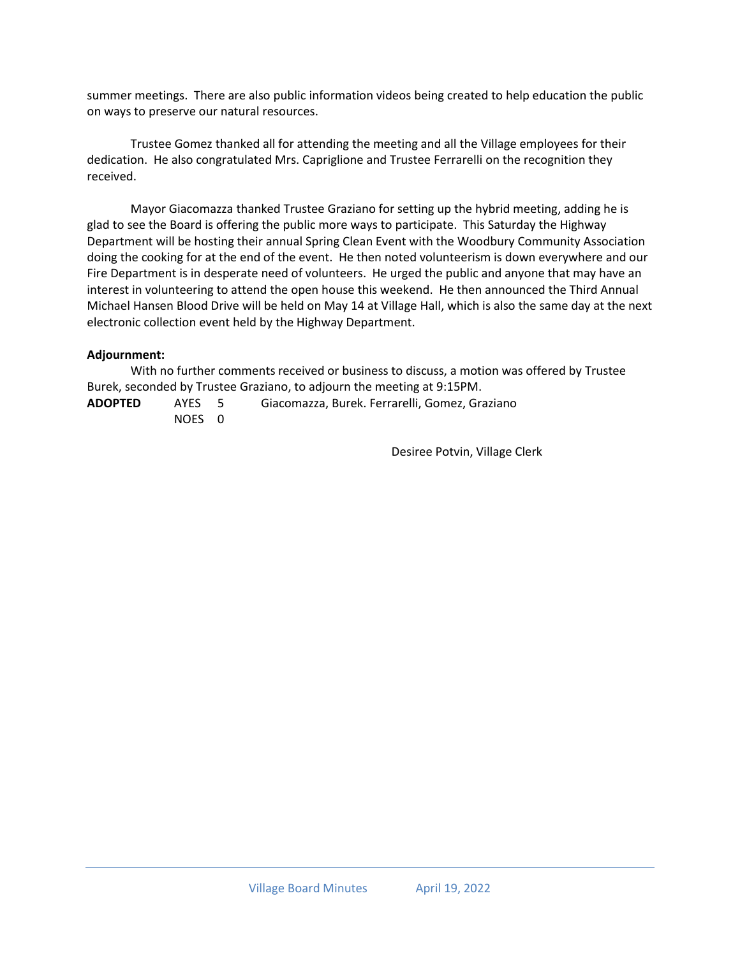summer meetings. There are also public information videos being created to help education the public on ways to preserve our natural resources.

Trustee Gomez thanked all for attending the meeting and all the Village employees for their dedication. He also congratulated Mrs. Capriglione and Trustee Ferrarelli on the recognition they received.

Mayor Giacomazza thanked Trustee Graziano for setting up the hybrid meeting, adding he is glad to see the Board is offering the public more ways to participate. This Saturday the Highway Department will be hosting their annual Spring Clean Event with the Woodbury Community Association doing the cooking for at the end of the event. He then noted volunteerism is down everywhere and our Fire Department is in desperate need of volunteers. He urged the public and anyone that may have an interest in volunteering to attend the open house this weekend. He then announced the Third Annual Michael Hansen Blood Drive will be held on May 14 at Village Hall, which is also the same day at the next electronic collection event held by the Highway Department.

### **Adjournment:**

With no further comments received or business to discuss, a motion was offered by Trustee Burek, seconded by Trustee Graziano, to adjourn the meeting at 9:15PM.

**ADOPTED** AYES 5 Giacomazza, Burek. Ferrarelli, Gomez, Graziano NOES 0

Desiree Potvin, Village Clerk